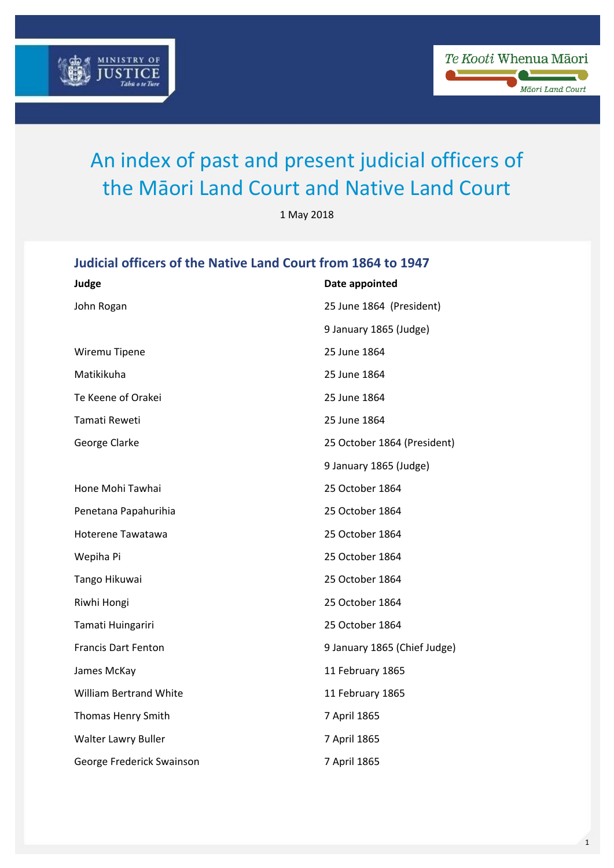



# An index of past and present judicial officers of the Māori Land Court and Native Land Court

1 May 2018

### **Judicial officers of the Native Land Court from 1864 to 1947**

| Judge                      | Date appointed               |
|----------------------------|------------------------------|
| John Rogan                 | 25 June 1864 (President)     |
|                            | 9 January 1865 (Judge)       |
| Wiremu Tipene              | 25 June 1864                 |
| Matikikuha                 | 25 June 1864                 |
| Te Keene of Orakei         | 25 June 1864                 |
| Tamati Reweti              | 25 June 1864                 |
| George Clarke              | 25 October 1864 (President)  |
|                            | 9 January 1865 (Judge)       |
| Hone Mohi Tawhai           | 25 October 1864              |
| Penetana Papahurihia       | 25 October 1864              |
| Hoterene Tawatawa          | 25 October 1864              |
| Wepiha Pi                  | 25 October 1864              |
| Tango Hikuwai              | 25 October 1864              |
| Riwhi Hongi                | 25 October 1864              |
| Tamati Huingariri          | 25 October 1864              |
| <b>Francis Dart Fenton</b> | 9 January 1865 (Chief Judge) |
| James McKay                | 11 February 1865             |
| William Bertrand White     | 11 February 1865             |
| Thomas Henry Smith         | 7 April 1865                 |
| Walter Lawry Buller        | 7 April 1865                 |
| George Frederick Swainson  | 7 April 1865                 |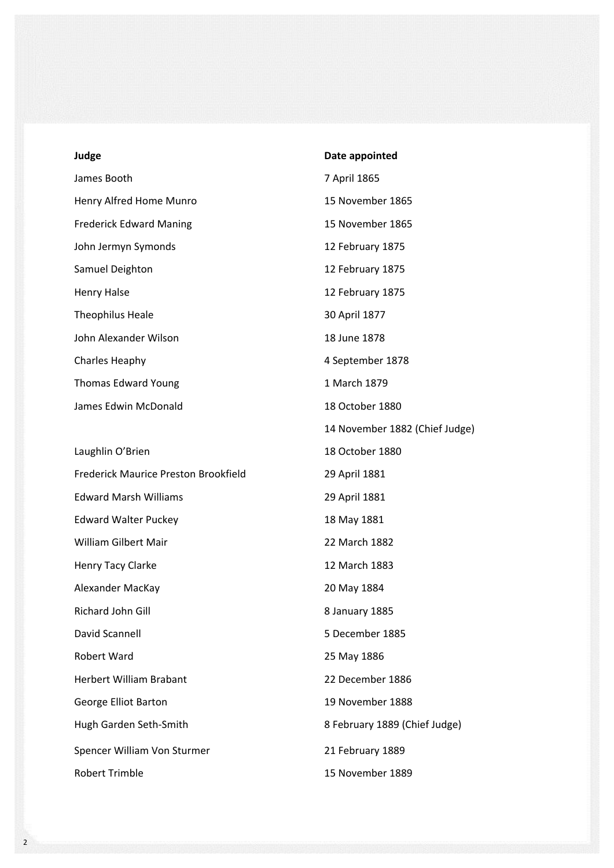### **Judge Date appointed**

| James Booth                          | 7 April 1865                   |
|--------------------------------------|--------------------------------|
| Henry Alfred Home Munro              | 15 November 1865               |
| <b>Frederick Edward Maning</b>       | 15 November 1865               |
| John Jermyn Symonds                  | 12 February 1875               |
| Samuel Deighton                      | 12 February 1875               |
| <b>Henry Halse</b>                   | 12 February 1875               |
| Theophilus Heale                     | 30 April 1877                  |
| John Alexander Wilson                | 18 June 1878                   |
| <b>Charles Heaphy</b>                | 4 September 1878               |
| <b>Thomas Edward Young</b>           | 1 March 1879                   |
| James Edwin McDonald                 | 18 October 1880                |
|                                      | 14 November 1882 (Chief Judge) |
| Laughlin O'Brien                     | 18 October 1880                |
| Frederick Maurice Preston Brookfield | 29 April 1881                  |
| <b>Edward Marsh Williams</b>         | 29 April 1881                  |
| <b>Edward Walter Puckey</b>          | 18 May 1881                    |
| William Gilbert Mair                 | 22 March 1882                  |
| Henry Tacy Clarke                    | 12 March 1883                  |
| Alexander MacKay                     | 20 May 1884                    |
| Richard John Gill                    | 8 January 1885                 |
| David Scannell                       | 5 December 1885                |
| Robert Ward                          | 25 May 1886                    |
| <b>Herbert William Brabant</b>       | 22 December 1886               |
| <b>George Elliot Barton</b>          | 19 November 1888               |
| Hugh Garden Seth-Smith               | 8 February 1889 (Chief Judge)  |
| Spencer William Von Sturmer          | 21 February 1889               |
| <b>Robert Trimble</b>                | 15 November 1889               |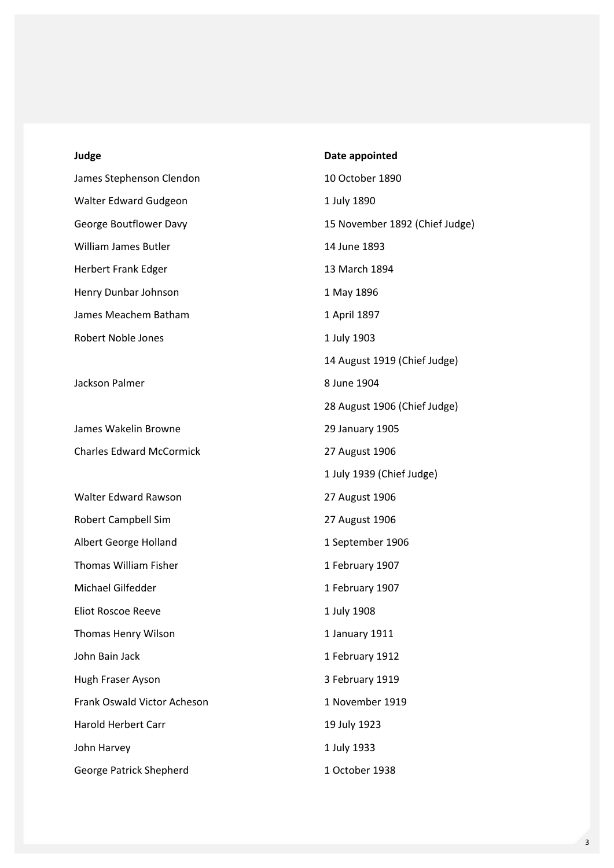James Stephenson Clendon 10 October 1890 Walter Edward Gudgeon 1 July 1890 William James Butler 14 June 1893 Herbert Frank Edger 13 March 1894 Henry Dunbar Johnson 1 May 1896 James Meachem Batham 1 April 1897 Robert Noble Jones 2012 1 July 1903

James Wakelin Browne 29 January 1905 Charles Edward McCormick 27 August 1906

Walter Edward Rawson 27 August 1906 Robert Campbell Sim 27 August 1906 Albert George Holland 1 September 1906 Thomas William Fisher 1 February 1907 Michael Gilfedder 1 February 1907 Eliot Roscoe Reeve 1 July 1908 Thomas Henry Wilson 1 January 1911 John Bain Jack 1 February 1912 Hugh Fraser Ayson 3 February 1919 Frank Oswald Victor Acheson 1 November 1919 Harold Herbert Carr 19 July 1923 John Harvey 2008 1 July 1933

**Judge Date appointed** George Boutflower Davy 15 November 1892 (Chief Judge) 14 August 1919 (Chief Judge) Jackson Palmer 8 June 1904 28 August 1906 (Chief Judge) 1 July 1939 (Chief Judge)

George Patrick Shepherd 1 October 1938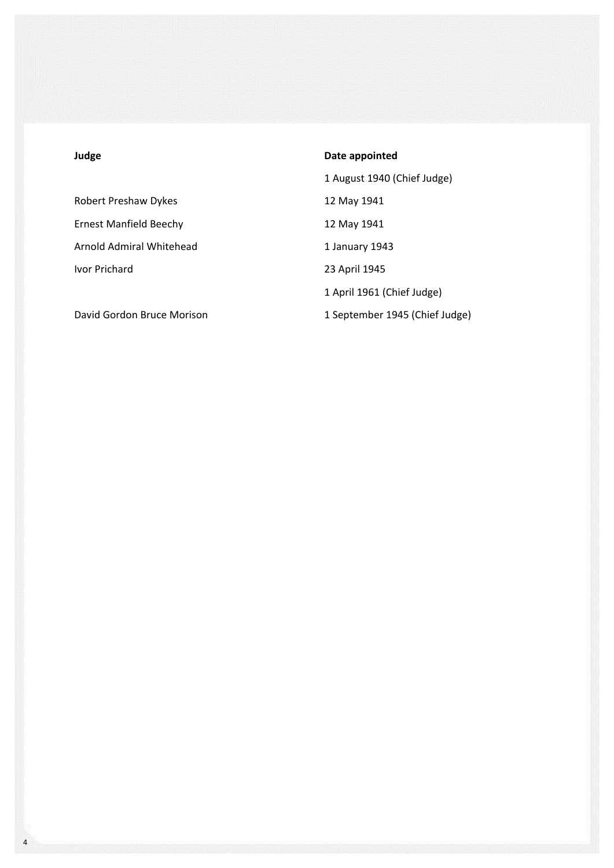Robert Preshaw Dykes 12 May 1941 Ernest Manfield Beechy 12 May 1941 Arnold Admiral Whitehead 1 January 1943 Ivor Prichard 23 April 1945

David Gordon Bruce Morison 1 September 1945 (Chief Judge)

### **Judge Date appointed**

1 August 1940 (Chief Judge) 1 April 1961 (Chief Judge)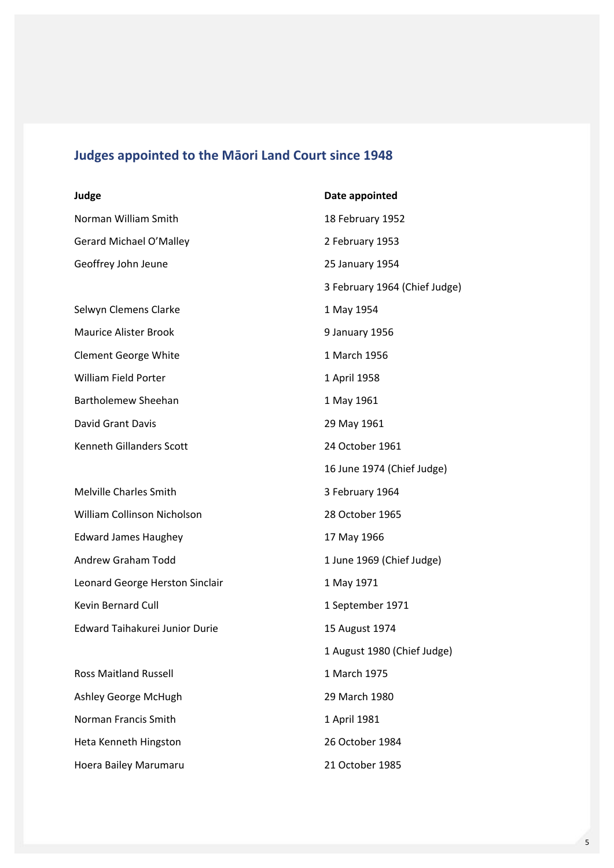## **Judges appointed to the Māori Land Court since 1948**

| Judge                           | Date appointed                |
|---------------------------------|-------------------------------|
| Norman William Smith            | 18 February 1952              |
| Gerard Michael O'Malley         | 2 February 1953               |
| Geoffrey John Jeune             | 25 January 1954               |
|                                 | 3 February 1964 (Chief Judge) |
| Selwyn Clemens Clarke           | 1 May 1954                    |
| <b>Maurice Alister Brook</b>    | 9 January 1956                |
| <b>Clement George White</b>     | 1 March 1956                  |
| William Field Porter            | 1 April 1958                  |
| <b>Bartholemew Sheehan</b>      | 1 May 1961                    |
| David Grant Davis               | 29 May 1961                   |
| <b>Kenneth Gillanders Scott</b> | 24 October 1961               |
|                                 | 16 June 1974 (Chief Judge)    |
| <b>Melville Charles Smith</b>   | 3 February 1964               |
| William Collinson Nicholson     | 28 October 1965               |
| <b>Edward James Haughey</b>     | 17 May 1966                   |
| Andrew Graham Todd              | 1 June 1969 (Chief Judge)     |
| Leonard George Herston Sinclair | 1 May 1971                    |
| Kevin Bernard Cull              | 1 September 1971              |
| Edward Taihakurei Junior Durie  | 15 August 1974                |
|                                 | 1 August 1980 (Chief Judge)   |
| <b>Ross Maitland Russell</b>    | 1 March 1975                  |
| Ashley George McHugh            | 29 March 1980                 |
| Norman Francis Smith            | 1 April 1981                  |
| Heta Kenneth Hingston           | 26 October 1984               |
| Hoera Bailey Marumaru           | 21 October 1985               |